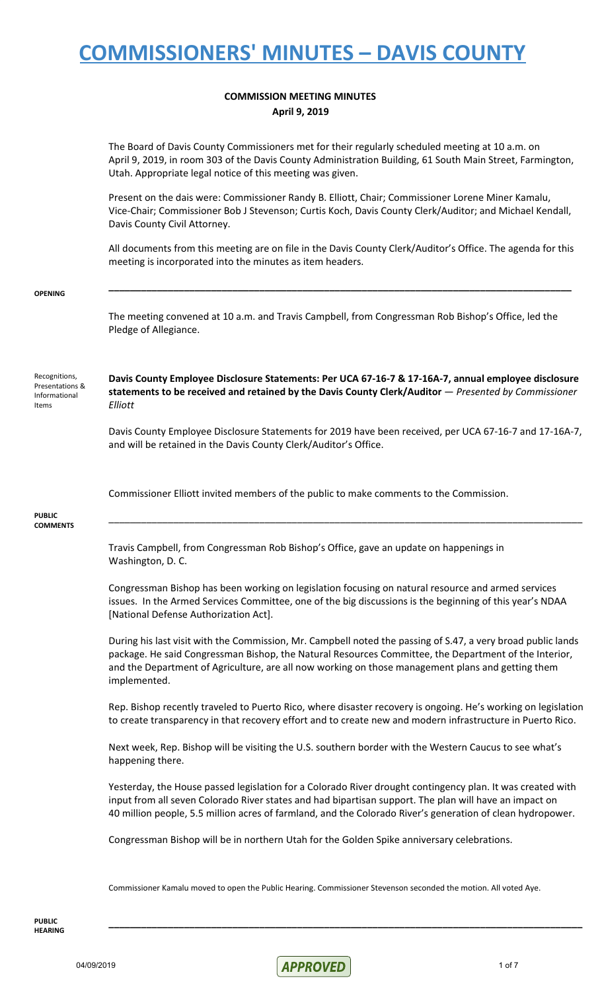#### **COMMISSION MEETING MINUTES April 9, 2019**

|                                                                   | The Board of Davis County Commissioners met for their regularly scheduled meeting at 10 a.m. on<br>April 9, 2019, in room 303 of the Davis County Administration Building, 61 South Main Street, Farmington,<br>Utah. Appropriate legal notice of this meeting was given.                                                                  |
|-------------------------------------------------------------------|--------------------------------------------------------------------------------------------------------------------------------------------------------------------------------------------------------------------------------------------------------------------------------------------------------------------------------------------|
|                                                                   | Present on the dais were: Commissioner Randy B. Elliott, Chair; Commissioner Lorene Miner Kamalu,<br>Vice-Chair; Commissioner Bob J Stevenson; Curtis Koch, Davis County Clerk/Auditor; and Michael Kendall,<br>Davis County Civil Attorney.                                                                                               |
|                                                                   | All documents from this meeting are on file in the Davis County Clerk/Auditor's Office. The agenda for this<br>meeting is incorporated into the minutes as item headers.                                                                                                                                                                   |
| <b>OPENING</b>                                                    |                                                                                                                                                                                                                                                                                                                                            |
|                                                                   | The meeting convened at 10 a.m. and Travis Campbell, from Congressman Rob Bishop's Office, led the<br>Pledge of Allegiance.                                                                                                                                                                                                                |
| Recognitions,<br>Presentations &<br>Informational<br><b>Items</b> | Davis County Employee Disclosure Statements: Per UCA 67-16-7 & 17-16A-7, annual employee disclosure<br>statements to be received and retained by the Davis County Clerk/Auditor - Presented by Commissioner<br>Elliott                                                                                                                     |
|                                                                   | Davis County Employee Disclosure Statements for 2019 have been received, per UCA 67-16-7 and 17-16A-7,<br>and will be retained in the Davis County Clerk/Auditor's Office.                                                                                                                                                                 |
|                                                                   | Commissioner Elliott invited members of the public to make comments to the Commission.                                                                                                                                                                                                                                                     |
| <b>PUBLIC</b><br><b>COMMENTS</b>                                  |                                                                                                                                                                                                                                                                                                                                            |
|                                                                   | Travis Campbell, from Congressman Rob Bishop's Office, gave an update on happenings in<br>Washington, D.C.                                                                                                                                                                                                                                 |
|                                                                   | Congressman Bishop has been working on legislation focusing on natural resource and armed services<br>issues. In the Armed Services Committee, one of the big discussions is the beginning of this year's NDAA<br>[National Defense Authorization Act].                                                                                    |
|                                                                   | During his last visit with the Commission, Mr. Campbell noted the passing of S.47, a very broad public lands<br>package. He said Congressman Bishop, the Natural Resources Committee, the Department of the Interior,<br>and the Department of Agriculture, are all now working on those management plans and getting them<br>implemented. |
|                                                                   | Rep. Bishop recently traveled to Puerto Rico, where disaster recovery is ongoing. He's working on legislation<br>to create transparency in that recovery effort and to create new and modern infrastructure in Puerto Rico.                                                                                                                |
|                                                                   | Next week, Rep. Bishop will be visiting the U.S. southern border with the Western Caucus to see what's<br>happening there.                                                                                                                                                                                                                 |
|                                                                   | Yesterday, the House passed legislation for a Colorado River drought contingency plan. It was created with<br>input from all seven Colorado River states and had bipartisan support. The plan will have an impact on<br>40 million people, 5.5 million acres of farmland, and the Colorado River's generation of clean hydropower.         |
|                                                                   | Congressman Bishop will be in northern Utah for the Golden Spike anniversary celebrations.                                                                                                                                                                                                                                                 |
|                                                                   | Commissioner Kamalu moved to open the Public Hearing. Commissioner Stevenson seconded the motion. All voted Aye.                                                                                                                                                                                                                           |



**\_\_\_\_\_\_\_\_\_\_\_\_\_\_\_\_\_\_\_\_\_\_\_\_\_\_\_\_\_\_\_\_\_\_\_\_\_\_\_\_\_\_\_\_\_\_\_\_\_\_\_\_\_\_\_\_\_\_\_\_\_\_\_\_\_\_\_\_\_\_\_\_\_\_\_\_\_\_\_\_\_\_\_\_\_\_\_\_**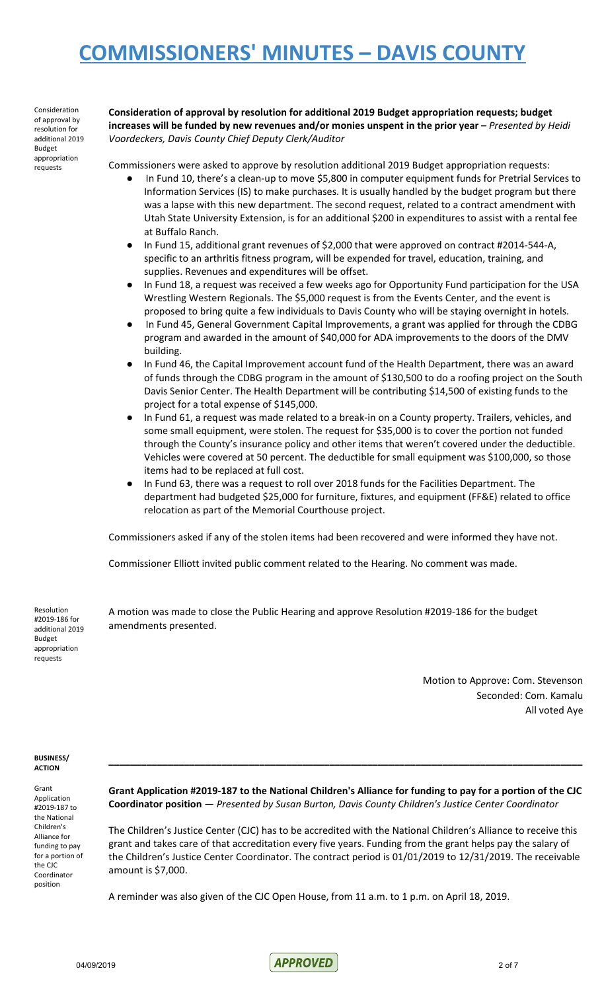Consideration of approval by resolution for additional 2019 Budget appropriation requests

**Consideration of approval by resolution for additional 2019 Budget appropriation requests; budget** increases will be funded by new revenues and/or monies unspent in the prior year - Presented by Heidi *Voordeckers, Davis County Chief Deputy Clerk/Auditor*

Commissioners were asked to approve by resolution additional 2019 Budget appropriation requests:

- In Fund 10, there's a clean-up to move \$5,800 in computer equipment funds for Pretrial Services to Information Services (IS) to make purchases. It is usually handled by the budget program but there was a lapse with this new department. The second request, related to a contract amendment with Utah State University Extension, is for an additional \$200 in expenditures to assist with a rental fee at Buffalo Ranch.
- In Fund 15, additional grant revenues of \$2,000 that were approved on contract #2014-544-A, specific to an arthritis fitness program, will be expended for travel, education, training, and supplies. Revenues and expenditures will be offset.
- In Fund 18, a request was received a few weeks ago for Opportunity Fund participation for the USA Wrestling Western Regionals. The \$5,000 request is from the Events Center, and the event is proposed to bring quite a few individuals to Davis County who will be staying overnight in hotels.
- In Fund 45, General Government Capital Improvements, a grant was applied for through the CDBG program and awarded in the amount of \$40,000 for ADA improvements to the doors of the DMV building.
- In Fund 46, the Capital Improvement account fund of the Health Department, there was an award of funds through the CDBG program in the amount of \$130,500 to do a roofing project on the South Davis Senior Center. The Health Department will be contributing \$14,500 of existing funds to the project for a total expense of \$145,000.
- In Fund 61, a request was made related to a break-in on a County property. Trailers, vehicles, and some small equipment, were stolen. The request for \$35,000 is to cover the portion not funded through the County's insurance policy and other items that weren't covered under the deductible. Vehicles were covered at 50 percent. The deductible for small equipment was \$100,000, so those items had to be replaced at full cost.
- In Fund 63, there was a request to roll over 2018 funds for the Facilities Department. The department had budgeted \$25,000 for furniture, fixtures, and equipment (FF&E) related to office relocation as part of the Memorial Courthouse project.

Commissioners asked if any of the stolen items had been recovered and were informed they have not.

Commissioner Elliott invited public comment related to the Hearing. No comment was made.

Resolution #2019-186 for additional 2019 Budget appropriation requests

A motion was made to close the Public Hearing and approve Resolution #2019-186 for the budget amendments presented.

> Motion to Approve: Com. Stevenson Seconded: Com. Kamalu All voted Aye

#### **BUSINESS/ ACTION**

Grant Application #2019-187 to the National Children's Alliance for funding to pay for a portion of the CJC Coordinator position

Grant Application #2019-187 to the National Children's Alliance for funding to pay for a portion of the CJC **Coordinator position** — *Presented by Susan Burton, Davis County Children's Justice Center Coordinator*

**\_\_\_\_\_\_\_\_\_\_\_\_\_\_\_\_\_\_\_\_\_\_\_\_\_\_\_\_\_\_\_\_\_\_\_\_\_\_\_\_\_\_\_\_\_\_\_\_\_\_\_\_\_\_\_\_\_\_\_\_\_\_\_\_\_\_\_\_\_\_\_\_\_\_\_\_\_\_\_\_\_\_\_\_\_\_\_\_**

The Children's Justice Center (CJC) has to be accredited with the National Children's Alliance to receive this grant and takes care of that accreditation every five years. Funding from the grant helps pay the salary of the Children's Justice Center Coordinator. The contract period is 01/01/2019 to 12/31/2019. The receivable amount is \$7,000.

A reminder was also given of the CJC Open House, from 11 a.m. to 1 p.m. on April 18, 2019.

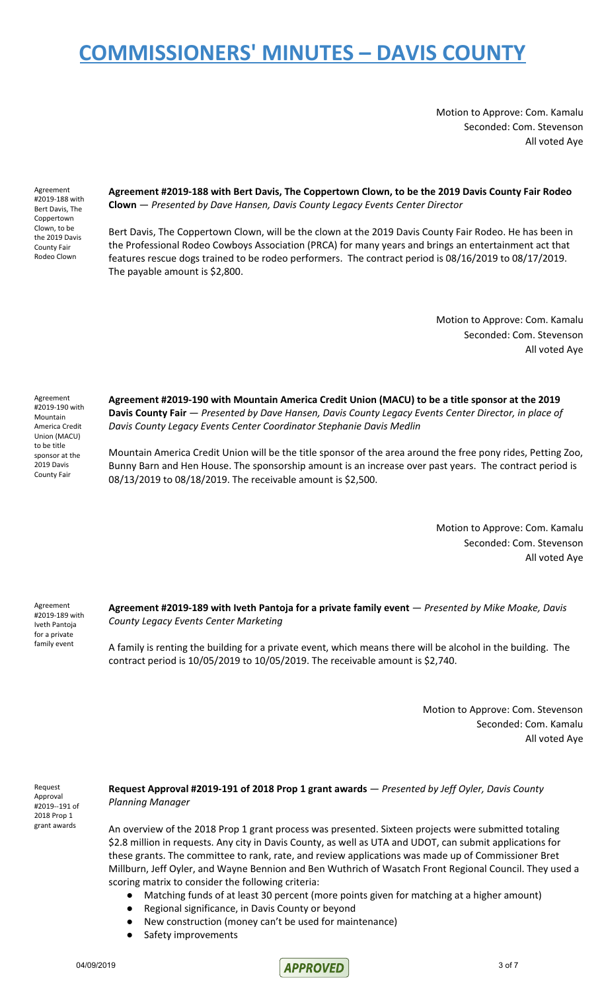Motion to Approve: Com. Kamalu Seconded: Com. Stevenson All voted Aye

Agreement #2019-188 with Bert Davis, The Coppertown Clown, to be the 2019 Davis County Fair Rodeo Clown

**Agreement #2019-188 with Bert Davis, The Coppertown Clown, to be the 2019 Davis County Fair Rodeo Clown** — *Presented by Dave Hansen, Davis County Legacy Events Center Director*

Bert Davis, The Coppertown Clown, will be the clown at the 2019 Davis County Fair Rodeo. He has been in the Professional Rodeo Cowboys Association (PRCA) for many years and brings an entertainment act that features rescue dogs trained to be rodeo performers. The contract period is 08/16/2019 to 08/17/2019. The payable amount is \$2,800.

> Motion to Approve: Com. Kamalu Seconded: Com. Stevenson All voted Aye

Agreement #2019-190 with Mountain America Credit Union (MACU) to be title sponsor at the 2019 Davis County Fair

**Agreement #2019-190 with Mountain America Credit Union (MACU) to be a title sponsor at the 2019 Davis County Fair** — *Presented by Dave Hansen, Davis County Legacy Events Center Director, in place of Davis County Legacy Events Center Coordinator Stephanie Davis Medlin*

Mountain America Credit Union will be the title sponsor of the area around the free pony rides, Petting Zoo, Bunny Barn and Hen House. The sponsorship amount is an increase over past years. The contract period is 08/13/2019 to 08/18/2019. The receivable amount is \$2,500.

> Motion to Approve: Com. Kamalu Seconded: Com. Stevenson All voted Aye

Agreement #2019-189 with Iveth Pantoja for a private family event

**Agreement #2019-189 with Iveth Pantoja for a private family event** — *Presented by Mike Moake, Davis County Legacy Events Center Marketing*

A family is renting the building for a private event, which means there will be alcohol in the building. The contract period is 10/05/2019 to 10/05/2019. The receivable amount is \$2,740.

> Motion to Approve: Com. Stevenson Seconded: Com. Kamalu All voted Aye

Request Approval #2019--191 of 2018 Prop 1 grant awards

**Request Approval #2019-191 of 2018 Prop 1 grant awards** — *Presented by Jeff Oyler, Davis County Planning Manager*

An overview of the 2018 Prop 1 grant process was presented. Sixteen projects were submitted totaling \$2.8 million in requests. Any city in Davis County, as well as UTA and UDOT, can submit applications for these grants. The committee to rank, rate, and review applications was made up of Commissioner Bret Millburn, Jeff Oyler, and Wayne Bennion and Ben Wuthrich of Wasatch Front Regional Council. They used a scoring matrix to consider the following criteria:

- Matching funds of at least 30 percent (more points given for matching at a higher amount)
- Regional significance, in Davis County or beyond
- New construction (money can't be used for maintenance)
- Safety improvements

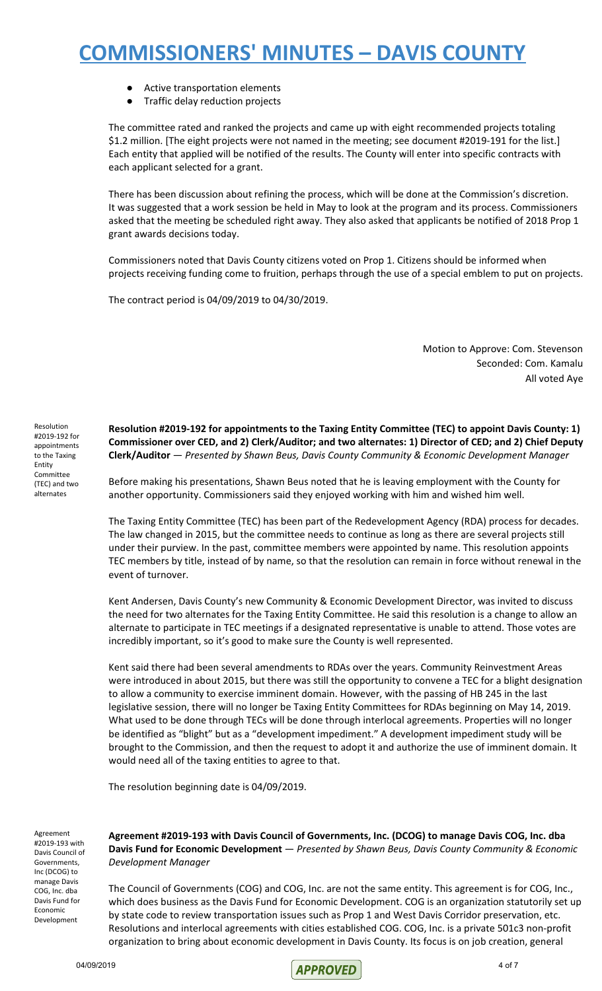- Active transportation elements
- Traffic delay reduction projects

The committee rated and ranked the projects and came up with eight recommended projects totaling \$1.2 million. [The eight projects were not named in the meeting; see document #2019-191 for the list.] Each entity that applied will be notified of the results. The County will enter into specific contracts with each applicant selected for a grant.

There has been discussion about refining the process, which will be done at the Commission's discretion. It was suggested that a work session be held in May to look at the program and its process. Commissioners asked that the meeting be scheduled right away. They also asked that applicants be notified of 2018 Prop 1 grant awards decisions today.

Commissioners noted that Davis County citizens voted on Prop 1. Citizens should be informed when projects receiving funding come to fruition, perhaps through the use of a special emblem to put on projects.

The contract period is 04/09/2019 to 04/30/2019.

Motion to Approve: Com. Stevenson Seconded: Com. Kamalu All voted Aye

Resolution #2019-192 for appointments to the Taxing Entity Committee (TEC) and two alternates

**Resolution #2019-192 for appointments to the Taxing Entity Committee (TEC) to appoint Davis County: 1) Commissioner over CED, and 2) Clerk/Auditor; and two alternates: 1) Director of CED; and 2) Chief Deputy Clerk/Auditor** — *Presented by Shawn Beus, Davis County Community & Economic Development Manager*

Before making his presentations, Shawn Beus noted that he is leaving employment with the County for another opportunity. Commissioners said they enjoyed working with him and wished him well.

The Taxing Entity Committee (TEC) has been part of the Redevelopment Agency (RDA) process for decades. The law changed in 2015, but the committee needs to continue as long as there are several projects still under their purview. In the past, committee members were appointed by name. This resolution appoints TEC members by title, instead of by name, so that the resolution can remain in force without renewal in the event of turnover.

Kent Andersen, Davis County's new Community & Economic Development Director, was invited to discuss the need for two alternates for the Taxing Entity Committee. He said this resolution is a change to allow an alternate to participate in TEC meetings if a designated representative is unable to attend. Those votes are incredibly important, so it's good to make sure the County is well represented.

Kent said there had been several amendments to RDAs over the years. Community Reinvestment Areas were introduced in about 2015, but there was still the opportunity to convene a TEC for a blight designation to allow a community to exercise imminent domain. However, with the passing of HB 245 in the last legislative session, there will no longer be Taxing Entity Committees for RDAs beginning on May 14, 2019. What used to be done through TECs will be done through interlocal agreements. Properties will no longer be identified as "blight" but as a "development impediment." A development impediment study will be brought to the Commission, and then the request to adopt it and authorize the use of imminent domain. It would need all of the taxing entities to agree to that.

The resolution beginning date is 04/09/2019.

Agreement #2019-193 with

Davis Council of Governments, Inc (DCOG) to manage Davis COG, Inc. dba Davis Fund for Economic Development

**Agreement #2019-193 with Davis Council of Governments, Inc. (DCOG) to manage Davis COG, Inc. dba Davis Fund for Economic Development** — *Presented by Shawn Beus, Davis County Community & Economic Development Manager*

The Council of Governments (COG) and COG, Inc. are not the same entity. This agreement is for COG, Inc., which does business as the Davis Fund for Economic Development. COG is an organization statutorily set up by state code to review transportation issues such as Prop 1 and West Davis Corridor preservation, etc. Resolutions and interlocal agreements with cities established COG. COG, Inc. is a private 501c3 non-profit organization to bring about economic development in Davis County. Its focus is on job creation, general

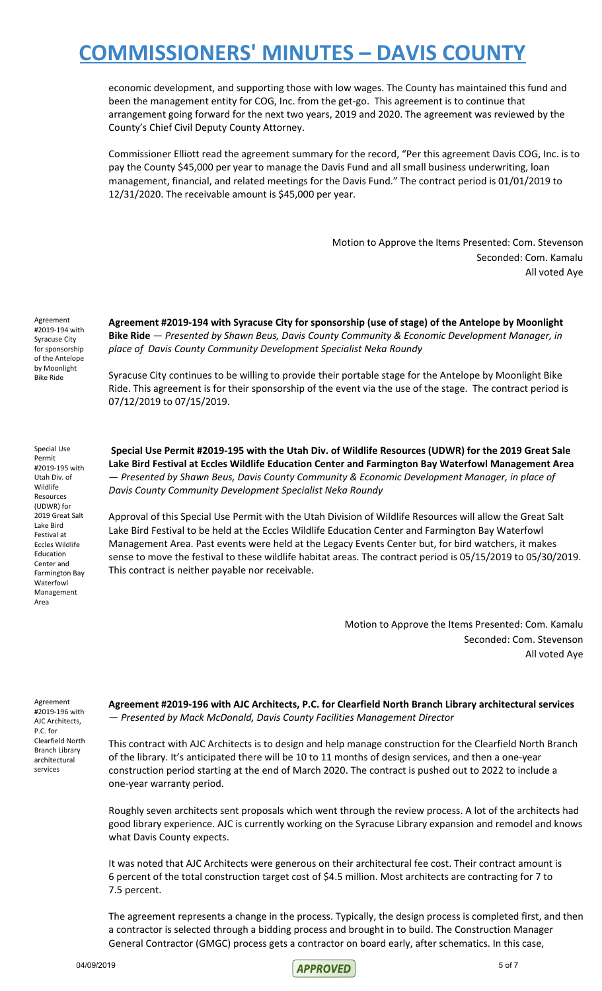economic development, and supporting those with low wages. The County has maintained this fund and been the management entity for COG, Inc. from the get-go. This agreement is to continue that arrangement going forward for the next two years, 2019 and 2020. The agreement was reviewed by the County's Chief Civil Deputy County Attorney.

Commissioner Elliott read the agreement summary for the record, "Per this agreement Davis COG, Inc. is to pay the County \$45,000 per year to manage the Davis Fund and all small business underwriting, loan management, financial, and related meetings for the Davis Fund." The contract period is 01/01/2019 to 12/31/2020. The receivable amount is \$45,000 per year.

> Motion to Approve the Items Presented: Com. Stevenson Seconded: Com. Kamalu All voted Aye

Agreement #2019-194 with Syracuse City for sponsorship of the Antelope by Moonlight Bike Ride

**Agreement #2019-194 with Syracuse City for sponsorship (use of stage) of the Antelope by Moonlight Bike Ride** — *Presented by Shawn Beus, Davis County Community & Economic Development Manager, in place of Davis County Community Development Specialist Neka Roundy*

Syracuse City continues to be willing to provide their portable stage for the Antelope by Moonlight Bike Ride. This agreement is for their sponsorship of the event via the use of the stage. The contract period is 07/12/2019 to 07/15/2019.

Special Use Permit #2019-195 with Utah Div. of Wildlife Resources (UDWR) for 2019 Great Salt Lake Bird Festival at Eccles Wildlife Education Center and Farmington Bay Waterfowl Management Area

**Special Use Permit #2019-195 with the Utah Div. of Wildlife Resources (UDWR) for the 2019 Great Sale Lake Bird Festival at Eccles Wildlife Education Center and Farmington Bay Waterfowl Management Area** — *Presented by Shawn Beus, Davis County Community & Economic Development Manager, in place of Davis County Community Development Specialist Neka Roundy*

Approval of this Special Use Permit with the Utah Division of Wildlife Resources will allow the Great Salt Lake Bird Festival to be held at the Eccles Wildlife Education Center and Farmington Bay Waterfowl Management Area. Past events were held at the Legacy Events Center but, for bird watchers, it makes sense to move the festival to these wildlife habitat areas. The contract period is 05/15/2019 to 05/30/2019. This contract is neither payable nor receivable.

> Motion to Approve the Items Presented: Com. Kamalu Seconded: Com. Stevenson All voted Aye

Agreement #2019-196 with AJC Architects, P.C. for Clearfield North Branch Library architectural services

**Agreement #2019-196 with AJC Architects, P.C. for Clearfield North Branch Library architectural services** — *Presented by Mack McDonald, Davis County Facilities Management Director*

This contract with AJC Architects is to design and help manage construction for the Clearfield North Branch of the library. It's anticipated there will be 10 to 11 months of design services, and then a one-year construction period starting at the end of March 2020. The contract is pushed out to 2022 to include a one-year warranty period.

Roughly seven architects sent proposals which went through the review process. A lot of the architects had good library experience. AJC is currently working on the Syracuse Library expansion and remodel and knows what Davis County expects.

It was noted that AJC Architects were generous on their architectural fee cost. Their contract amount is 6 percent of the total construction target cost of \$4.5 million. Most architects are contracting for 7 to 7.5 percent.

The agreement represents a change in the process. Typically, the design process is completed first, and then a contractor is selected through a bidding process and brought in to build. The Construction Manager General Contractor (GMGC) process gets a contractor on board early, after schematics. In this case,

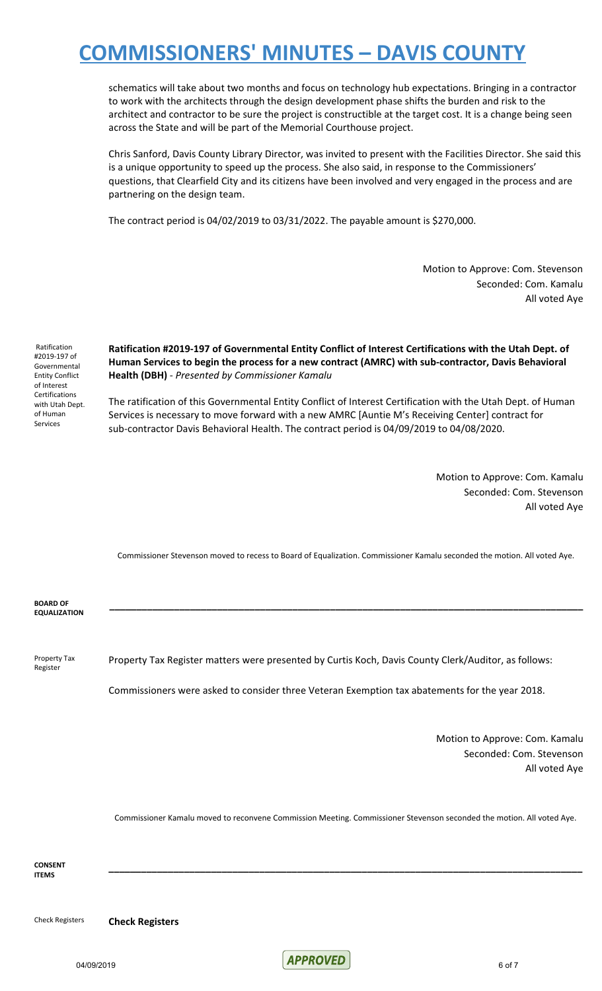schematics will take about two months and focus on technology hub expectations. Bringing in a contractor to work with the architects through the design development phase shifts the burden and risk to the architect and contractor to be sure the project is constructible at the target cost. It is a change being seen across the State and will be part of the Memorial Courthouse project.

Chris Sanford, Davis County Library Director, was invited to present with the Facilities Director. She said this is a unique opportunity to speed up the process. She also said, in response to the Commissioners' questions, that Clearfield City and its citizens have been involved and very engaged in the process and are partnering on the design team.

The contract period is 04/02/2019 to 03/31/2022. The payable amount is \$270,000.

Motion to Approve: Com. Stevenson Seconded: Com. Kamalu All voted Aye

Ratification #2019-197 of Governmental Entity Conflict of Interest Certifications with Utah Dept. of Human Services

**Ratification #2019-197 of Governmental Entity Conflict of Interest Certifications with the Utah Dept. of Human Services to begin the process for a new contract (AMRC) with sub-contractor, Davis Behavioral Health (DBH)** - *Presented by Commissioner Kamalu*

The ratification of this Governmental Entity Conflict of Interest Certification with the Utah Dept. of Human Services is necessary to move forward with a new AMRC [Auntie M's Receiving Center] contract for sub-contractor Davis Behavioral Health. The contract period is 04/09/2019 to 04/08/2020.

> Motion to Approve: Com. Kamalu Seconded: Com. Stevenson All voted Aye

Commissioner Stevenson moved to recess to Board of Equalization. Commissioner Kamalu seconded the motion. All voted Aye.

**\_\_\_\_\_\_\_\_\_\_\_\_\_\_\_\_\_\_\_\_\_\_\_\_\_\_\_\_\_\_\_\_\_\_\_\_\_\_\_\_\_\_\_\_\_\_\_\_\_\_\_\_\_\_\_\_\_\_\_\_\_\_\_\_\_\_\_\_\_\_\_\_\_\_\_\_\_\_\_\_\_\_\_\_\_\_\_\_**

**BOARD OF EQUALIZATION**

Property Tax Register

Property Tax Register matters were presented by Curtis Koch, Davis County Clerk/Auditor, as follows:

Commissioners were asked to consider three Veteran Exemption tax abatements for the year 2018.

Motion to Approve: Com. Kamalu Seconded: Com. Stevenson All voted Aye

Commissioner Kamalu moved to reconvene Commission Meeting. Commissioner Stevenson seconded the motion. All voted Aye.

**\_\_\_\_\_\_\_\_\_\_\_\_\_\_\_\_\_\_\_\_\_\_\_\_\_\_\_\_\_\_\_\_\_\_\_\_\_\_\_\_\_\_\_\_\_\_\_\_\_\_\_\_\_\_\_\_\_\_\_\_\_\_\_\_\_\_\_\_\_\_\_\_\_\_\_\_\_\_\_\_\_\_\_\_\_\_\_\_**

**CONSENT ITEMS**

Check Registers **Check Registers**